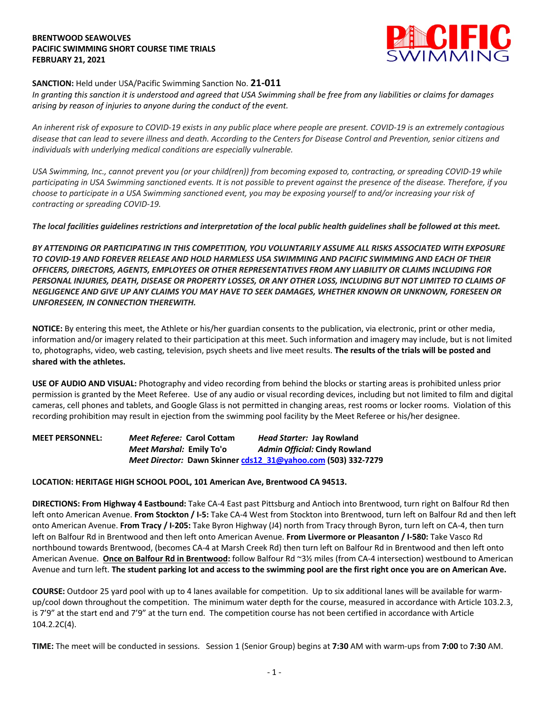## **BRENTWOOD SEAWOLVES PACIFIC SWIMMING SHORT COURSE TIME TRIALS FEBRUARY 21, 2021**



## **SANCTION:** Held under USA/Pacific Swimming Sanction No. **21-011**

*In granting this sanction it is understood and agreed that USA Swimming shall be free from any liabilities or claims for damages arising by reason of injuries to anyone during the conduct of the event.* 

*An inherent risk of exposure to COVID-19 exists in any public place where people are present. COVID-19 is an extremely contagious disease that can lead to severe illness and death. According to the Centers for Disease Control and Prevention, senior citizens and individuals with underlying medical conditions are especially vulnerable.*

*USA Swimming, Inc., cannot prevent you (or your child(ren)) from becoming exposed to, contracting, or spreading COVID-19 while participating in USA Swimming sanctioned events. It is not possible to prevent against the presence of the disease. Therefore, if you choose to participate in a USA Swimming sanctioned event, you may be exposing yourself to and/or increasing your risk of contracting or spreading COVID-19.*

*The local facilities guidelines restrictions and interpretation of the local public health guidelines shall be followed at this meet.* 

*BY ATTENDING OR PARTICIPATING IN THIS COMPETITION, YOU VOLUNTARILY ASSUME ALL RISKS ASSOCIATED WITH EXPOSURE TO COVID-19 AND FOREVER RELEASE AND HOLD HARMLESS USA SWIMMING AND PACIFIC SWIMMING AND EACH OF THEIR OFFICERS, DIRECTORS, AGENTS, EMPLOYEES OR OTHER REPRESENTATIVES FROM ANY LIABILITY OR CLAIMS INCLUDING FOR PERSONAL INJURIES, DEATH, DISEASE OR PROPERTY LOSSES, OR ANY OTHER LOSS, INCLUDING BUT NOT LIMITED TO CLAIMS OF NEGLIGENCE AND GIVE UP ANY CLAIMS YOU MAY HAVE TO SEEK DAMAGES, WHETHER KNOWN OR UNKNOWN, FORESEEN OR UNFORESEEN, IN CONNECTION THEREWITH.*

**NOTICE:** By entering this meet, the Athlete or his/her guardian consents to the publication, via electronic, print or other media, information and/or imagery related to their participation at this meet. Such information and imagery may include, but is not limited to, photographs, video, web casting, television, psych sheets and live meet results. **The results of the trials will be posted and shared with the athletes.**

**USE OF AUDIO AND VISUAL:** Photography and video recording from behind the blocks or starting areas is prohibited unless prior permission is granted by the Meet Referee. Use of any audio or visual recording devices, including but not limited to film and digital cameras, cell phones and tablets, and Google Glass is not permitted in changing areas, rest rooms or locker rooms. Violation of this recording prohibition may result in ejection from the swimming pool facility by the Meet Referee or his/her designee.

**MEET PERSONNEL:** *Meet Referee:* **Carol Cottam** *Head Starter:* **Jay Rowland** *Meet Marshal:* **Emily To'o** *Admin Official:* **Cindy Rowland** *Meet Director:* **Dawn Skinner cds12\_31@yahoo.com (503) 332-7279**

## **LOCATION: HERITAGE HIGH SCHOOL POOL, 101 American Ave, Brentwood CA 94513.**

**DIRECTIONS: From Highway 4 Eastbound:** Take CA-4 East past Pittsburg and Antioch into Brentwood, turn right on Balfour Rd then left onto American Avenue. **From Stockton / I-5:** Take CA-4 West from Stockton into Brentwood, turn left on Balfour Rd and then left onto American Avenue. **From Tracy / I-205:** Take Byron Highway (J4) north from Tracy through Byron, turn left on CA-4, then turn left on Balfour Rd in Brentwood and then left onto American Avenue. **From Livermore or Pleasanton / I-580:** Take Vasco Rd northbound towards Brentwood, (becomes CA-4 at Marsh Creek Rd) then turn left on Balfour Rd in Brentwood and then left onto American Avenue. **Once on Balfour Rd in Brentwood:** follow Balfour Rd ~3½ miles (from CA-4 intersection) westbound to American Avenue and turn left. **The student parking lot and access to the swimming pool are the first right once you are on American Ave.**

**COURSE:** Outdoor 25 yard pool with up to 4 lanes available for competition. Up to six additional lanes will be available for warmup/cool down throughout the competition. The minimum water depth for the course, measured in accordance with Article 103.2.3, is 7'9" at the start end and 7'9" at the turn end. The competition course has not been certified in accordance with Article 104.2.2C(4).

**TIME:** The meet will be conducted in sessions. Session 1 (Senior Group) begins at **7:30** AM with warm-ups from **7:00** to **7:30** AM.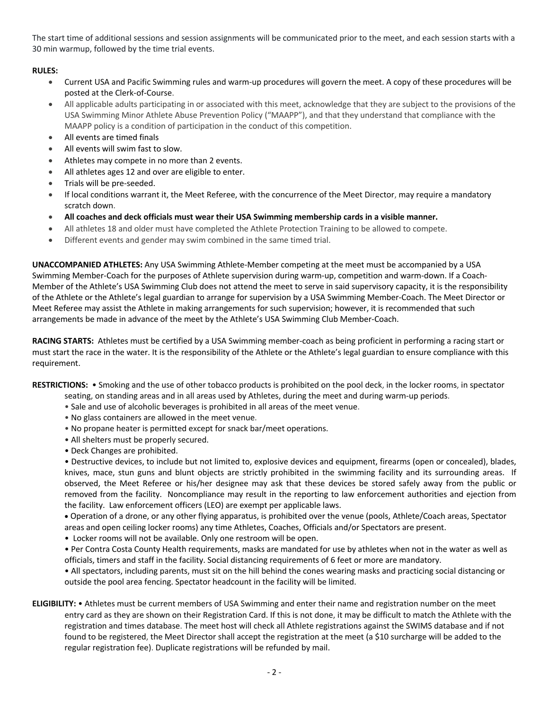The start time of additional sessions and session assignments will be communicated prior to the meet, and each session starts with a 30 min warmup, followed by the time trial events.

# **RULES:**

- Current USA and Pacific Swimming rules and warm-up procedures will govern the meet. A copy of these procedures will be posted at the Clerk-of-Course.
- All applicable adults participating in or associated with this meet, acknowledge that they are subject to the provisions of the USA Swimming Minor Athlete Abuse Prevention Policy ("MAAPP"), and that they understand that compliance with the MAAPP policy is a condition of participation in the conduct of this competition.
- All events are timed finals
- All events will swim fast to slow.
- Athletes may compete in no more than 2 events.
- All athletes ages 12 and over are eligible to enter.
- Trials will be pre-seeded.
- If local conditions warrant it, the Meet Referee, with the concurrence of the Meet Director, may require a mandatory scratch down.
- **All coaches and deck officials must wear their USA Swimming membership cards in a visible manner.**
- All athletes 18 and older must have completed the Athlete Protection Training to be allowed to compete.
- Different events and gender may swim combined in the same timed trial.

**UNACCOMPANIED ATHLETES:** Any USA Swimming Athlete-Member competing at the meet must be accompanied by a USA Swimming Member-Coach for the purposes of Athlete supervision during warm-up, competition and warm-down. If a Coach-Member of the Athlete's USA Swimming Club does not attend the meet to serve in said supervisory capacity, it is the responsibility of the Athlete or the Athlete's legal guardian to arrange for supervision by a USA Swimming Member-Coach. The Meet Director or Meet Referee may assist the Athlete in making arrangements for such supervision; however, it is recommended that such arrangements be made in advance of the meet by the Athlete's USA Swimming Club Member-Coach.

**RACING STARTS:** Athletes must be certified by a USA Swimming member-coach as being proficient in performing a racing start or must start the race in the water. It is the responsibility of the Athlete or the Athlete's legal guardian to ensure compliance with this requirement.

**RESTRICTIONS:** • Smoking and the use of other tobacco products is prohibited on the pool deck, in the locker rooms, in spectator

- seating, on standing areas and in all areas used by Athletes, during the meet and during warm-up periods.
- Sale and use of alcoholic beverages is prohibited in all areas of the meet venue.
- No glass containers are allowed in the meet venue.
- No propane heater is permitted except for snack bar/meet operations.
- All shelters must be properly secured.
- Deck Changes are prohibited.

• Destructive devices, to include but not limited to, explosive devices and equipment, firearms (open or concealed), blades, knives, mace, stun guns and blunt objects are strictly prohibited in the swimming facility and its surrounding areas. If observed, the Meet Referee or his/her designee may ask that these devices be stored safely away from the public or removed from the facility. Noncompliance may result in the reporting to law enforcement authorities and ejection from the facility. Law enforcement officers (LEO) are exempt per applicable laws.

• Operation of a drone, or any other flying apparatus, is prohibited over the venue (pools, Athlete/Coach areas, Spectator areas and open ceiling locker rooms) any time Athletes, Coaches, Officials and/or Spectators are present.

• Locker rooms will not be available. Only one restroom will be open.

• Per Contra Costa County Health requirements, masks are mandated for use by athletes when not in the water as well as officials, timers and staff in the facility. Social distancing requirements of 6 feet or more are mandatory.

• All spectators, including parents, must sit on the hill behind the cones wearing masks and practicing social distancing or outside the pool area fencing. Spectator headcount in the facility will be limited.

**ELIGIBILITY:** • Athletes must be current members of USA Swimming and enter their name and registration number on the meet entry card as they are shown on their Registration Card. If this is not done, it may be difficult to match the Athlete with the registration and times database. The meet host will check all Athlete registrations against the SWIMS database and if not found to be registered, the Meet Director shall accept the registration at the meet (a \$10 surcharge will be added to the regular registration fee). Duplicate registrations will be refunded by mail.